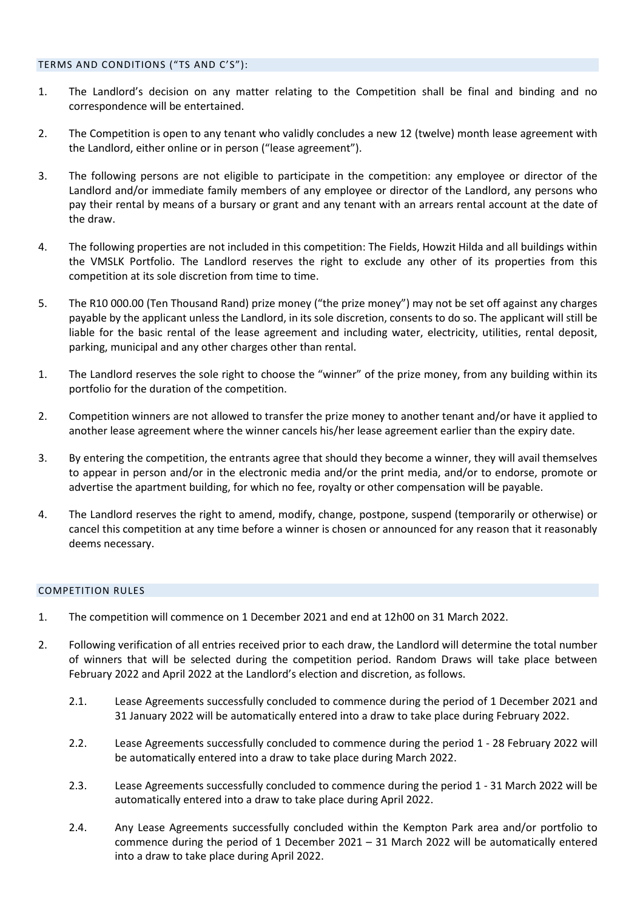- 1. The Landlord's decision on any matter relating to the Competition shall be final and binding and no correspondence will be entertained.
- 2. The Competition is open to any tenant who validly concludes a new 12 (twelve) month lease agreement with the Landlord, either online or in person ("lease agreement").
- 3. The following persons are not eligible to participate in the competition: any employee or director of the Landlord and/or immediate family members of any employee or director of the Landlord, any persons who pay their rental by means of a bursary or grant and any tenant with an arrears rental account at the date of the draw.
- 4. The following properties are not included in this competition: The Fields, Howzit Hilda and all buildings within the VMSLK Portfolio. The Landlord reserves the right to exclude any other of its properties from this competition at its sole discretion from time to time.
- 5. The R10 000.00 (Ten Thousand Rand) prize money ("the prize money") may not be set off against any charges payable by the applicant unless the Landlord, in its sole discretion, consents to do so. The applicant will still be liable for the basic rental of the lease agreement and including water, electricity, utilities, rental deposit, parking, municipal and any other charges other than rental.
- 1. The Landlord reserves the sole right to choose the "winner" of the prize money, from any building within its portfolio for the duration of the competition.
- 2. Competition winners are not allowed to transfer the prize money to another tenant and/or have it applied to another lease agreement where the winner cancels his/her lease agreement earlier than the expiry date.
- 3. By entering the competition, the entrants agree that should they become a winner, they will avail themselves to appear in person and/or in the electronic media and/or the print media, and/or to endorse, promote or advertise the apartment building, for which no fee, royalty or other compensation will be payable.
- 4. The Landlord reserves the right to amend, modify, change, postpone, suspend (temporarily or otherwise) or cancel this competition at any time before a winner is chosen or announced for any reason that it reasonably deems necessary.

## COMPETITION RULES

- 1. The competition will commence on 1 December 2021 and end at 12h00 on 31 March 2022.
- 2. Following verification of all entries received prior to each draw, the Landlord will determine the total number of winners that will be selected during the competition period. Random Draws will take place between February 2022 and April 2022 at the Landlord's election and discretion, as follows.
	- 2.1. Lease Agreements successfully concluded to commence during the period of 1 December 2021 and 31 January 2022 will be automatically entered into a draw to take place during February 2022.
	- 2.2. Lease Agreements successfully concluded to commence during the period 1 28 February 2022 will be automatically entered into a draw to take place during March 2022.
	- 2.3. Lease Agreements successfully concluded to commence during the period 1 31 March 2022 will be automatically entered into a draw to take place during April 2022.
	- 2.4. Any Lease Agreements successfully concluded within the Kempton Park area and/or portfolio to commence during the period of 1 December 2021 – 31 March 2022 will be automatically entered into a draw to take place during April 2022.